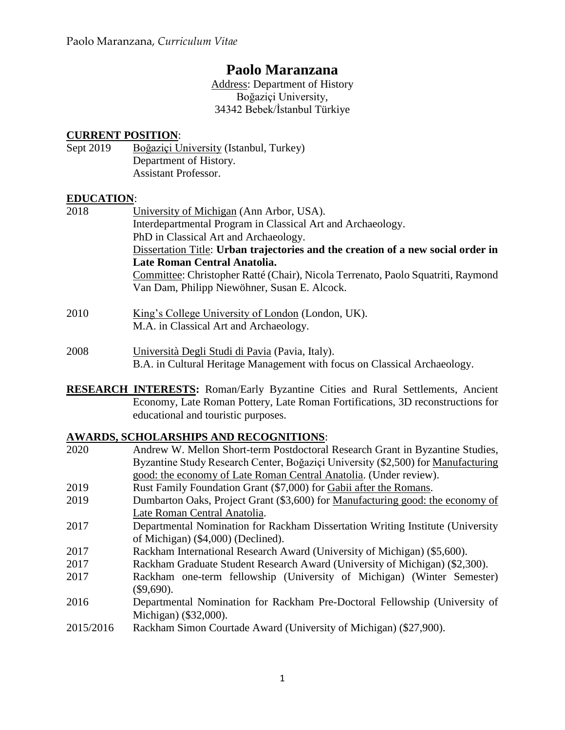# **Paolo Maranzana**

Address: Department of History Boğaziçi University, 34342 Bebek/İstanbul Türkiye

## **CURRENT POSITION**:

Sept 2019 Boğaziçi University (Istanbul, Turkey) Department of History. Assistant Professor.

## **EDUCATION**:

- 2018 University of Michigan (Ann Arbor, USA). Interdepartmental Program in Classical Art and Archaeology. PhD in Classical Art and Archaeology. Dissertation Title: **Urban trajectories and the creation of a new social order in Late Roman Central Anatolia.** Committee: Christopher Ratté (Chair), Nicola Terrenato, Paolo Squatriti, Raymond Van Dam, Philipp Niewöhner, Susan E. Alcock.
- 2010 King's College University of London (London, UK). M.A. in Classical Art and Archaeology.
- 2008 Università Degli Studi di Pavia (Pavia, Italy). B.A. in Cultural Heritage Management with focus on Classical Archaeology.
- **RESEARCH INTERESTS:** Roman/Early Byzantine Cities and Rural Settlements, Ancient Economy, Late Roman Pottery, Late Roman Fortifications, 3D reconstructions for educational and touristic purposes.

## **AWARDS, SCHOLARSHIPS AND RECOGNITIONS**:

2020 Andrew W. Mellon Short-term Postdoctoral Research Grant in Byzantine Studies, Byzantine Study Research Center, Boğaziçi University (\$2,500) for Manufacturing good: the economy of Late Roman Central Anatolia. (Under review). 2019 Rust Family Foundation Grant (\$7,000) for Gabii after the Romans. 2019 Dumbarton Oaks, Project Grant (\$3,600) for Manufacturing good: the economy of Late Roman Central Anatolia. 2017 Departmental Nomination for Rackham Dissertation Writing Institute (University of Michigan) (\$4,000) (Declined). 2017 Rackham International Research Award (University of Michigan) (\$5,600). 2017 Rackham Graduate Student Research Award (University of Michigan) (\$2,300). 2017 Rackham one-term fellowship (University of Michigan) (Winter Semester) (\$9,690). 2016 Departmental Nomination for Rackham Pre-Doctoral Fellowship (University of Michigan) (\$32,000). 2015/2016 Rackham Simon Courtade Award (University of Michigan) (\$27,900).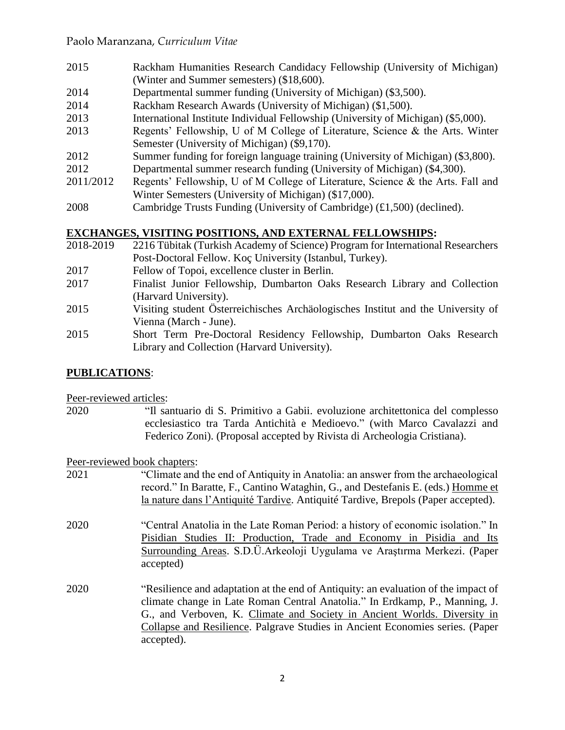- 2015 Rackham Humanities Research Candidacy Fellowship (University of Michigan) (Winter and Summer semesters) (\$18,600).
- 2014 Departmental summer funding (University of Michigan) (\$3,500).
- 2014 Rackham Research Awards (University of Michigan) (\$1,500).
- 2013 International Institute Individual Fellowship (University of Michigan) (\$5,000).
- 2013 Regents' Fellowship, U of M College of Literature, Science & the Arts. Winter Semester (University of Michigan) (\$9,170).
- 2012 Summer funding for foreign language training (University of Michigan) (\$3,800).
- 2012 Departmental summer research funding (University of Michigan) (\$4,300).
- 2011/2012 Regents' Fellowship, U of M College of Literature, Science & the Arts. Fall and Winter Semesters (University of Michigan) (\$17,000).
- 2008 Cambridge Trusts Funding (University of Cambridge) (£1,500) (declined).

# **EXCHANGES, VISITING POSITIONS, AND EXTERNAL FELLOWSHIPS:**

- 2018-2019 2216 Tübitak (Turkish Academy of Science) Program for International Researchers Post-Doctoral Fellow. Koç University (Istanbul, Turkey).
- 2017 Fellow of Topoi, excellence cluster in Berlin.
- 2017 Finalist Junior Fellowship, Dumbarton Oaks Research Library and Collection (Harvard University).
- 2015 Visiting student Österreichisches Archäologisches Institut and the University of Vienna (March - June).
- 2015 Short Term Pre-Doctoral Residency Fellowship, Dumbarton Oaks Research Library and Collection (Harvard University).

# **PUBLICATIONS**:

Peer-reviewed articles:

2020 "Il santuario di S. Primitivo a Gabii. evoluzione architettonica del complesso ecclesiastico tra Tarda Antichità e Medioevo." (with Marco Cavalazzi and Federico Zoni). (Proposal accepted by Rivista di Archeologia Cristiana).

Peer-reviewed book chapters:

- 2021 "Climate and the end of Antiquity in Anatolia: an answer from the archaeological record." In Baratte, F., Cantino Wataghin, G., and Destefanis E. (eds.) Homme et la nature dans l'Antiquité Tardive. Antiquité Tardive, Brepols (Paper accepted).
- 2020 "Central Anatolia in the Late Roman Period: a history of economic isolation." In Pisidian Studies II: Production, Trade and Economy in Pisidia and Its Surrounding Areas. S.D.Ü.Arkeoloji Uygulama ve Araştırma Merkezi. (Paper accepted)
- 2020 "Resilience and adaptation at the end of Antiquity: an evaluation of the impact of climate change in Late Roman Central Anatolia." In Erdkamp, P., Manning, J. G., and Verboven, K. Climate and Society in Ancient Worlds. Diversity in Collapse and Resilience. Palgrave Studies in Ancient Economies series. (Paper accepted).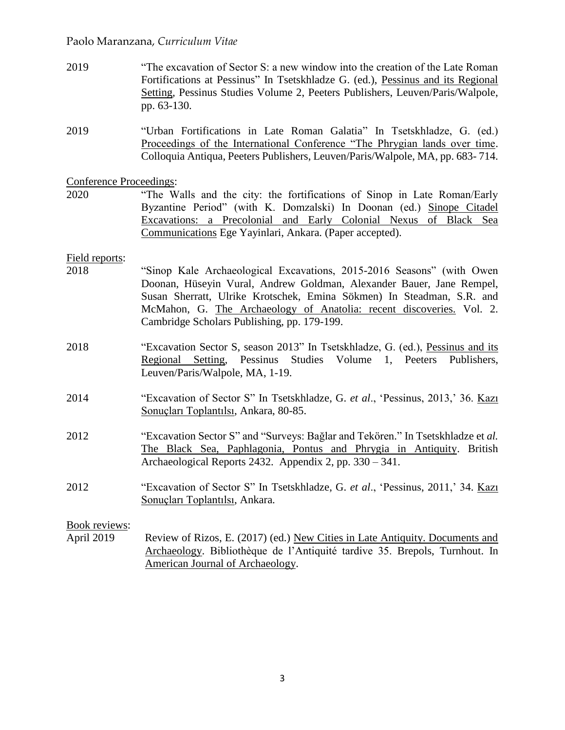- 2019 "The excavation of Sector S: a new window into the creation of the Late Roman Fortifications at Pessinus" In Tsetskhladze G. (ed.), Pessinus and its Regional Setting*,* Pessinus Studies Volume 2, Peeters Publishers, Leuven/Paris/Walpole, pp. 63-130.
- 2019 "Urban Fortifications in Late Roman Galatia" In Tsetskhladze, G. (ed.) Proceedings of the International Conference "The Phrygian lands over time. Colloquia Antiqua, Peeters Publishers, Leuven/Paris/Walpole, MA, pp. 683- 714.

#### Conference Proceedings:

2020 "The Walls and the city: the fortifications of Sinop in Late Roman/Early Byzantine Period" (with K. Domzalski) In Doonan (ed.) Sinope Citadel Excavations: a Precolonial and Early Colonial Nexus of Black Sea Communications Ege Yayinlari, Ankara. (Paper accepted).

#### Field reports:

- 2018 "Sinop Kale Archaeological Excavations, 2015-2016 Seasons" (with Owen Doonan, Hüseyin Vural, Andrew Goldman, Alexander Bauer, Jane Rempel, Susan Sherratt, Ulrike Krotschek, Emina Sökmen) In Steadman, S.R. and McMahon, G. The Archaeology of Anatolia: recent discoveries. Vol. 2. Cambridge Scholars Publishing, pp. 179-199.
- 2018 "Excavation Sector S, season 2013" In Tsetskhladze, G. (ed.), Pessinus and its Regional Setting*,* Pessinus Studies Volume 1, Peeters Publishers, Leuven/Paris/Walpole, MA, 1-19.
- 2014 "Excavation of Sector S" In Tsetskhladze, G. *et al*., 'Pessinus, 2013,' 36. Kazı Sonuçları Toplantılsı, Ankara, 80-85.
- 2012 "Excavation Sector S" and "Surveys: Bağlar and Tekören." In Tsetskhladze et *al.* The Black Sea, Paphlagonia, Pontus and Phrygia in Antiquity. British Archaeological Reports 2432. Appendix 2, pp. 330 – 341.
- 2012 "Excavation of Sector S" In Tsetskhladze, G. *et al*., 'Pessinus, 2011,' 34. Kazı Sonuçları Toplantılsı, Ankara.

#### Book reviews:

April 2019 Review of Rizos, E. (2017) (ed.) New Cities in Late Antiquity. Documents and Archaeology. Bibliothèque de l'Antiquité tardive 35. Brepols, Turnhout. In American Journal of Archaeology.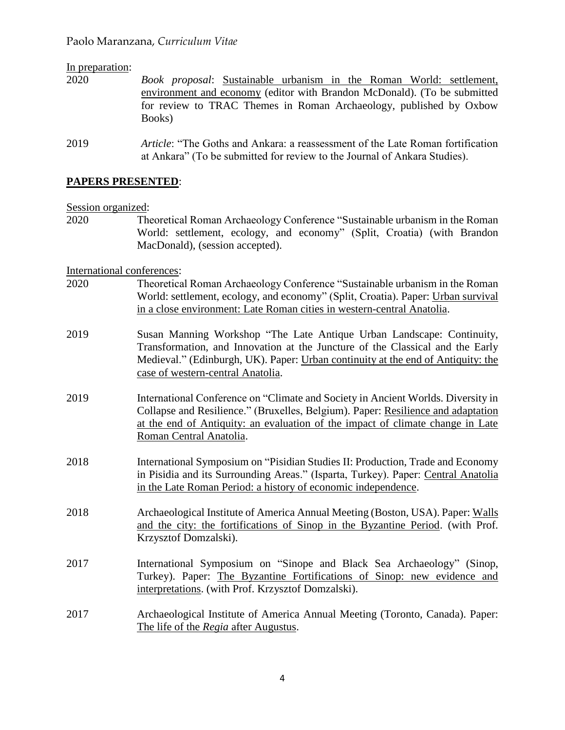# In preparation: 2020 *Book proposal*: Sustainable urbanism in the Roman World: settlement, environment and economy (editor with Brandon McDonald). (To be submitted for review to TRAC Themes in Roman Archaeology, published by Oxbow Books) 2019 *Article*: "The Goths and Ankara: a reassessment of the Late Roman fortification at Ankara" (To be submitted for review to the Journal of Ankara Studies).

## **PAPERS PRESENTED**:

Session organized:

2020 Theoretical Roman Archaeology Conference "Sustainable urbanism in the Roman World: settlement, ecology, and economy" (Split, Croatia) (with Brandon MacDonald), (session accepted).

International conferences:

- 2020 Theoretical Roman Archaeology Conference "Sustainable urbanism in the Roman World: settlement, ecology, and economy" (Split, Croatia). Paper: Urban survival in a close environment: Late Roman cities in western-central Anatolia.
- 2019 Susan Manning Workshop "The Late Antique Urban Landscape: Continuity, Transformation, and Innovation at the Juncture of the Classical and the Early Medieval." (Edinburgh, UK). Paper: Urban continuity at the end of Antiquity: the case of western-central Anatolia.
- 2019 International Conference on "Climate and Society in Ancient Worlds. Diversity in Collapse and Resilience." (Bruxelles, Belgium). Paper: Resilience and adaptation at the end of Antiquity: an evaluation of the impact of climate change in Late Roman Central Anatolia.
- 2018 International Symposium on "Pisidian Studies II: Production, Trade and Economy in Pisidia and its Surrounding Areas." (Isparta, Turkey). Paper: Central Anatolia in the Late Roman Period: a history of economic independence.
- 2018 Archaeological Institute of America Annual Meeting (Boston, USA). Paper: Walls and the city: the fortifications of Sinop in the Byzantine Period. (with Prof. Krzysztof Domzalski).
- 2017 International Symposium on "Sinope and Black Sea Archaeology" (Sinop, Turkey). Paper: The Byzantine Fortifications of Sinop: new evidence and interpretations. (with Prof. Krzysztof Domzalski).
- 2017 Archaeological Institute of America Annual Meeting (Toronto, Canada). Paper: The life of the *Regia* after Augustus.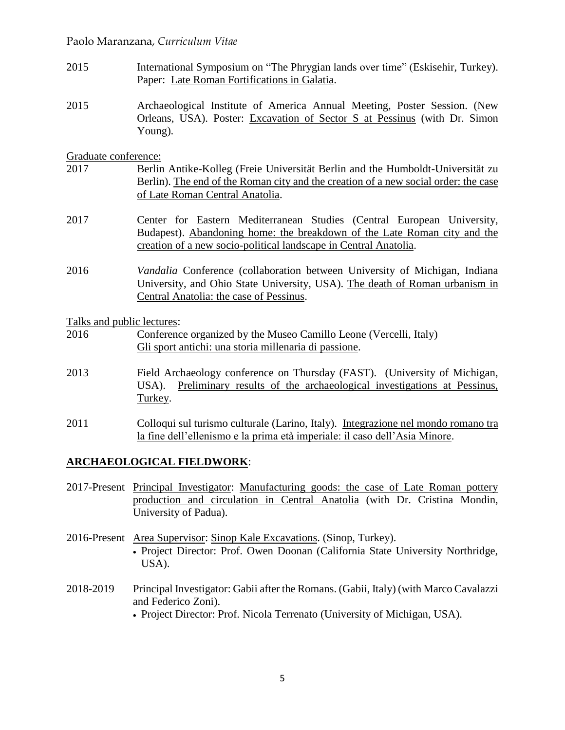- 2015 International Symposium on "The Phrygian lands over time" (Eskisehir, Turkey). Paper: Late Roman Fortifications in Galatia.
- 2015 Archaeological Institute of America Annual Meeting, Poster Session. (New Orleans, USA). Poster: Excavation of Sector S at Pessinus (with Dr. Simon Young).

#### Graduate conference:

- 2017 Berlin Antike-Kolleg (Freie Universität Berlin and the Humboldt-Universität zu Berlin). The end of the Roman city and the creation of a new social order: the case of Late Roman Central Anatolia.
- 2017 Center for Eastern Mediterranean Studies (Central European University, Budapest). Abandoning home: the breakdown of the Late Roman city and the creation of a new socio-political landscape in Central Anatolia.
- 2016 *Vandalia* Conference (collaboration between University of Michigan, Indiana University, and Ohio State University, USA). The death of Roman urbanism in Central Anatolia: the case of Pessinus.

Talks and public lectures:

- 2016 Conference organized by the Museo Camillo Leone (Vercelli, Italy) Gli sport antichi: una storia millenaria di passione.
- 2013 Field Archaeology conference on Thursday (FAST). (University of Michigan, USA). Preliminary results of the archaeological investigations at Pessinus, Turkey.
- 2011 Colloqui sul turismo culturale (Larino, Italy). Integrazione nel mondo romano tra la fine dell'ellenismo e la prima età imperiale: il caso dell'Asia Minore.

## **ARCHAEOLOGICAL FIELDWORK**:

- 2017-Present Principal Investigator: Manufacturing goods: the case of Late Roman pottery production and circulation in Central Anatolia (with Dr. Cristina Mondin, University of Padua).
- 2016-Present Area Supervisor: Sinop Kale Excavations. (Sinop, Turkey). • Project Director: Prof. Owen Doonan (California State University Northridge, USA).
- 2018-2019 Principal Investigator: Gabii after the Romans. (Gabii, Italy) (with Marco Cavalazzi and Federico Zoni).
	- Project Director: Prof. Nicola Terrenato (University of Michigan, USA).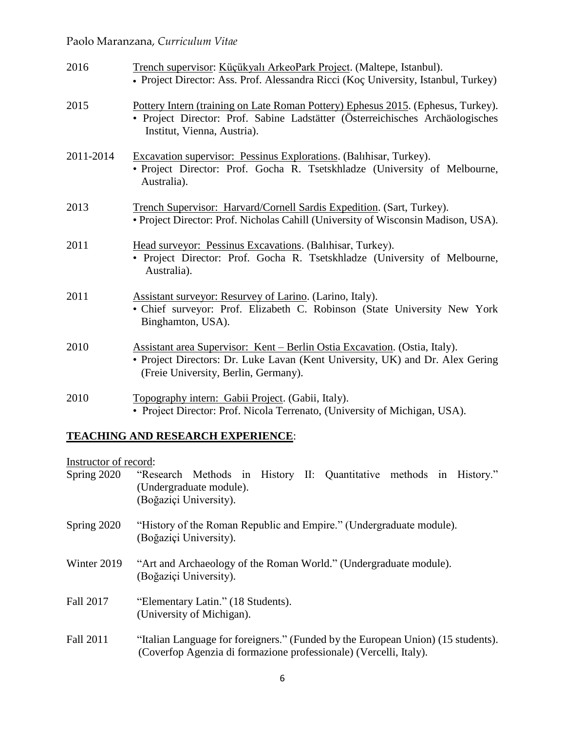| 2016      | Trench supervisor: Küçükyalı ArkeoPark Project. (Maltepe, Istanbul).<br>• Project Director: Ass. Prof. Alessandra Ricci (Koç University, Istanbul, Turkey)                                          |
|-----------|-----------------------------------------------------------------------------------------------------------------------------------------------------------------------------------------------------|
| 2015      | Pottery Intern (training on Late Roman Pottery) Ephesus 2015. (Ephesus, Turkey).<br>• Project Director: Prof. Sabine Ladstätter (Österreichisches Archäologisches<br>Institut, Vienna, Austria).    |
| 2011-2014 | Excavation supervisor: Pessinus Explorations. (Balihisar, Turkey).<br>• Project Director: Prof. Gocha R. Tsetskhladze (University of Melbourne,<br>Australia).                                      |
| 2013      | Trench Supervisor: Harvard/Cornell Sardis Expedition. (Sart, Turkey).<br>• Project Director: Prof. Nicholas Cahill (University of Wisconsin Madison, USA).                                          |
| 2011      | Head surveyor: Pessinus Excavations. (Balihisar, Turkey).<br>· Project Director: Prof. Gocha R. Tsetskhladze (University of Melbourne,<br>Australia).                                               |
| 2011      | Assistant surveyor: Resurvey of Larino. (Larino, Italy).<br>· Chief surveyor: Prof. Elizabeth C. Robinson (State University New York<br>Binghamton, USA).                                           |
| 2010      | Assistant area Supervisor: Kent – Berlin Ostia Excavation. (Ostia, Italy).<br>• Project Directors: Dr. Luke Lavan (Kent University, UK) and Dr. Alex Gering<br>(Freie University, Berlin, Germany). |
| 2010      | Topography intern: Gabii Project. (Gabii, Italy).<br>• Project Director: Prof. Nicola Terrenato, (University of Michigan, USA).                                                                     |

# **TEACHING AND RESEARCH EXPERIENCE**:

Instructor of record:

| Spring 2020 | "Research Methods in History II: Quantitative methods in History."<br>(Undergraduate module).<br>(Boğaziçi University).                               |
|-------------|-------------------------------------------------------------------------------------------------------------------------------------------------------|
| Spring 2020 | "History of the Roman Republic and Empire." (Undergraduate module).<br>(Boğaziçi University).                                                         |
| Winter 2019 | "Art and Archaeology of the Roman World." (Undergraduate module).<br>(Boğaziçi University).                                                           |
| Fall 2017   | "Elementary Latin." (18 Students).<br>(University of Michigan).                                                                                       |
| Fall 2011   | "Italian Language for foreigners." (Funded by the European Union) (15 students).<br>(Coverfop Agenzia di formazione professionale) (Vercelli, Italy). |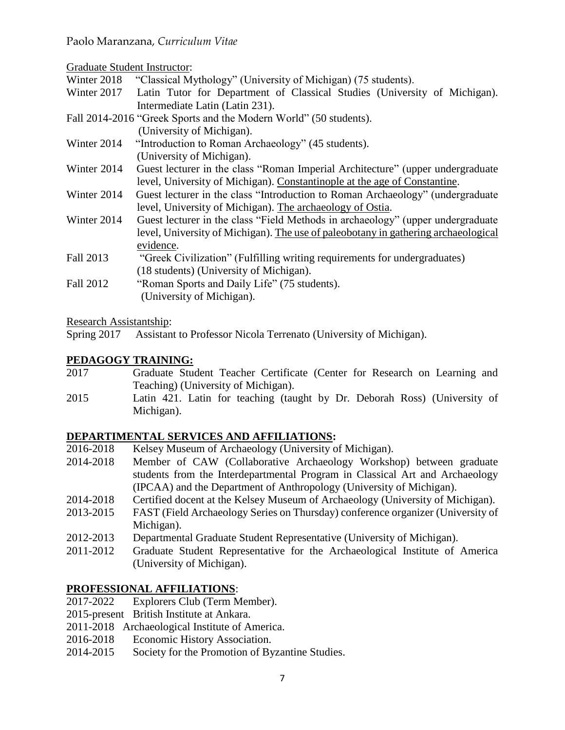Graduate Student Instructor:

Winter 2018 "Classical Mythology" (University of Michigan) (75 students).<br>Winter 2017 Latin Tutor for Department of Classical Studies (University)

- Latin Tutor for Department of Classical Studies (University of Michigan). Intermediate Latin (Latin 231).
- Fall 2014-2016 "Greek Sports and the Modern World" (50 students). (University of Michigan).
- Winter 2014 "Introduction to Roman Archaeology" (45 students). (University of Michigan).
- Winter 2014 Guest lecturer in the class "Roman Imperial Architecture" (upper undergraduate level, University of Michigan). Constantinople at the age of Constantine.
- Winter 2014 Guest lecturer in the class "Introduction to Roman Archaeology" (undergraduate level, University of Michigan). The archaeology of Ostia.
- Winter 2014 Guest lecturer in the class "Field Methods in archaeology" (upper undergraduate level, University of Michigan). The use of paleobotany in gathering archaeological evidence.
- Fall 2013 "Greek Civilization" (Fulfilling writing requirements for undergraduates) (18 students) (University of Michigan).
- Fall 2012 "Roman Sports and Daily Life" (75 students). (University of Michigan).

Research Assistantship:

Spring 2017 Assistant to Professor Nicola Terrenato (University of Michigan).

# **PEDAGOGY TRAINING:**

- 2017 Graduate Student Teacher Certificate (Center for Research on Learning and Teaching) (University of Michigan).
- 2015 Latin 421. Latin for teaching (taught by Dr. Deborah Ross) (University of Michigan).

# **DEPARTIMENTAL SERVICES AND AFFILIATIONS:**

- 2016-2018 Kelsey Museum of Archaeology (University of Michigan).
- 2014-2018 Member of CAW (Collaborative Archaeology Workshop) between graduate students from the Interdepartmental Program in Classical Art and Archaeology (IPCAA) and the Department of Anthropology (University of Michigan).
- 2014-2018 Certified docent at the Kelsey Museum of Archaeology (University of Michigan).
- 2013-2015 FAST (Field Archaeology Series on Thursday) conference organizer (University of Michigan).
- 2012-2013 Departmental Graduate Student Representative (University of Michigan).
- 2011-2012 Graduate Student Representative for the Archaeological Institute of America (University of Michigan).

# **PROFESSIONAL AFFILIATIONS**:

- 2017-2022 Explorers Club (Term Member).
- 2015-present British Institute at Ankara.
- 2011-2018 Archaeological Institute of America.
- 2016-2018 Economic History Association.
- 2014-2015 Society for the Promotion of Byzantine Studies.